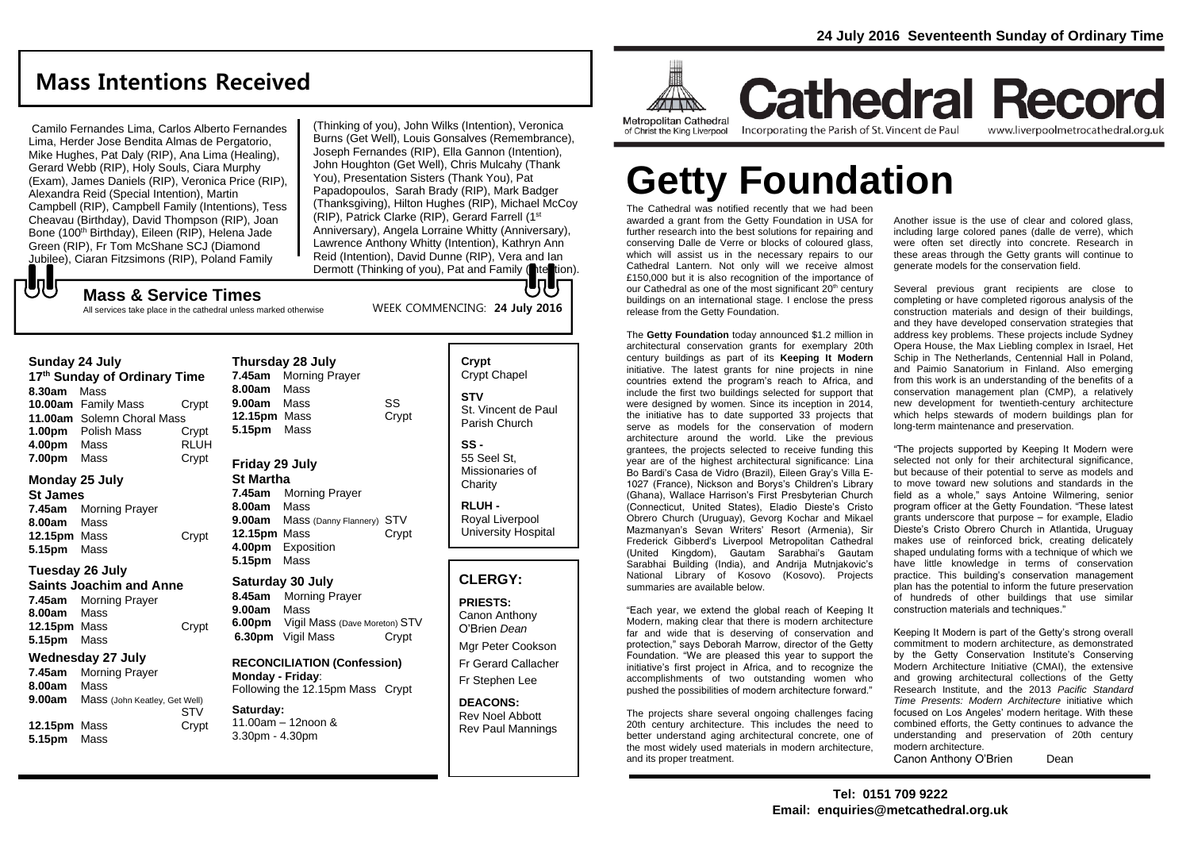## **Mass Intentions Received**

Camilo Fernandes Lima, Carlos Alberto Fernandes Lima, Herder Jose Bendita Almas de Pergatorio, Mike Hughes, Pat Daly (RIP), Ana Lima (Healing), Gerard Webb (RIP), Holy Souls, Ciara Murphy (Exam), James Daniels (RIP), Veronica Price (RIP), Alexandra Reid (Special Intention), Martin Campbell (RIP), Campbell Family (Intentions), Tess Cheavau (Birthday), David Thompson (RIP), Joan Bone (100<sup>th</sup> Birthday), Eileen (RIP), Helena Jade Green (RIP), Fr Tom McShane SCJ (Diamond Jubilee), Ciaran Fitzsimons (RIP), Poland Family

(Thinking of you), John Wilks (Intention), Veronica Burns (Get Well), Louis Gonsalves (Remembrance), Joseph Fernandes (RIP), Ella Gannon (Intention), John Houghton (Get Well), Chris Mulcahy (Thank You), Presentation Sisters (Thank You), Pat Papadopoulos, Sarah Brady (RIP), Mark Badger (Thanksgiving), Hilton Hughes (RIP), Michael McCoy (RIP), Patrick Clarke (RIP), Gerard Farrell (1st Anniversary), Angela Lorraine Whitty (Anniversary), Lawrence Anthony Whitty (Intention), Kathryn Ann Reid (Intention), David Dunne (RIP), Vera and Ian Dermott (Thinking of you), Pat and Family (ntertion).

WEEK COMMENCING: **24 July 2016**

### **Mass & Service Times**

All services take place in the cathedral unless marked otherwise

### **Sunday 24 July**

**UU** 

**17 th Sunday of Ordinary Time 8.30am** Mass **10.00am** Family Mass Crypt **11.00am** Solemn Choral Mass **1.00pm** Polish Mass Crypt **4.00pm** Mass RLUH **7.00pm** Mass Crypt

### **Monday 25 July**

**St James 7.45am** Morning Prayer **8.00am** Mass **12.15pm** Mass Crypt **5.15pm** Mass

### **Tuesday 26 July**

**Saints Joachim and Anne 7.45am** Morning Prayer **8.00am** Mass **12.15pm** Mass Crypt **5.15pm** Mass

### **Wednesday 27 July**

**7.45am** Morning Prayer **8.00am** Mass **9.00am** Mass (John Keatley, Get Well) STV **12.15pm** Mass Crypt **5.15pm** Mass

| 8.00am Mass      | Thursday 28 July<br>7.45am Morning Prayer |       |
|------------------|-------------------------------------------|-------|
| 9.00am Mass      |                                           | SS    |
| 12.15pm Mass     |                                           | Crypt |
| 5.15pm Mass      |                                           |       |
| Friday 29 July   |                                           |       |
| <b>St Martha</b> |                                           |       |

**7.45am** Morning Prayer **8.00am** Mass **9.00am** Mass (Danny Flannery) STV **12.15pm Mass Crypt 4.00pm** Exposition **5.15pm** Mass

### **Saturday 30 July**

**8.45am** Morning Prayer **9.00am** Mass **6.00pm** Vigil Mass (Dave Moreton) STV **6.30pm** Vigil Mass Crypt

**RECONCILIATION (Confession) Monday - Friday**: Following the 12.15pm Mass Crypt

#### **Saturday:** 11.00am – 12noon & 3.30pm - 4.30pm

**Crypt**  Crypt Chapel **STV** St. Vincent de Paul Parish Church **SS -** 55 Seel St,

Missionaries of **Charity** 

**RLUH -** Royal Liverpool University Hospital

### **CLERGY:**

**PRIESTS:** Canon Anthony O'Brien *Dean*

Mgr Peter Cookson Fr Gerard Callacher Fr Stephen Lee

**DEACONS:** Rev Noel Abbott Rev Paul Mannings



**Cathedral Record** Incorporating the Parish of St. Vincent de Paul www.liverpoolmetrocathedral.org.uk

# **Getty Foundation**

The Cathedral was notified recently that we had been awarded a grant from the Getty Foundation in USA for further research into the best solutions for repairing and conserving Dalle de Verre or blocks of coloured glass, which will assist us in the necessary repairs to our Cathedral Lantern. Not only will we receive almost £150,000 but it is also recognition of the importance of our Cathedral as one of the most significant 20<sup>th</sup> century buildings on an international stage. I enclose the press release from the Getty Foundation.

The **Getty Foundation** today announced \$1.2 million in architectural conservation grants for exemplary 20th century buildings as part of its **Keeping It Modern**  initiative. The latest grants for nine projects in nine countries extend the program's reach to Africa, and include the first two buildings selected for support that were designed by women. Since its inception in 2014. the initiative has to date supported 33 projects that serve as models for the conservation of modern architecture around the world. Like the previous grantees, the projects selected to receive funding this year are of the highest architectural significance: Lina Bo Bardi's Casa de Vidro (Brazil), Eileen Gray's Villa E-1027 (France), Nickson and Borys's Children's Library (Ghana), Wallace Harrison's First Presbyterian Church (Connecticut, United States), Eladio Dieste's Cristo Obrero Church (Uruguay), Gevorg Kochar and Mikael Mazmanyan's Sevan Writers' Resort (Armenia), Sir Frederick Gibberd's Liverpool Metropolitan Cathedral (United Kingdom), Gautam Sarabhai's Gautam Sarabhai Building (India), and Andrija Mutnjakovic's National Library of Kosovo (Kosovo). Projects summaries are available below.

"Each year, we extend the global reach of Keeping It Modern, making clear that there is modern architecture far and wide that is deserving of conservation and protection," says Deborah Marrow, director of the Getty Foundation. "We are pleased this year to support the initiative's first project in Africa, and to recognize the accomplishments of two outstanding women who pushed the possibilities of modern architecture forward."

The projects share several ongoing challenges facing 20th century architecture. This includes the need to better understand aging architectural concrete, one of the most widely used materials in modern architecture, and its proper treatment.

Another issue is the use of clear and colored glass, including large colored panes (dalle de verre), which were often set directly into concrete. Research in these areas through the Getty grants will continue to generate models for the conservation field.

Several previous grant recipients are close to completing or have completed rigorous analysis of the construction materials and design of their buildings, and they have developed conservation strategies that address key problems. These projects include Sydney Opera House, the Max Liebling complex in Israel, Het Schip in The Netherlands, Centennial Hall in Poland, and Paimio Sanatorium in Finland. Also emerging from this work is an understanding of the benefits of a conservation management plan (CMP), a relatively new development for twentieth-century architecture which helps stewards of modern buildings plan for long-term maintenance and preservation.

"The projects supported by Keeping It Modern were selected not only for their architectural significance. but because of their potential to serve as models and to move toward new solutions and standards in the field as a whole," says Antoine Wilmering, senior program officer at the Getty Foundation. "These latest grants underscore that purpose – for example, Eladio Dieste's Cristo Obrero Church in Atlantida, Uruguay makes use of reinforced brick, creating delicately shaped undulating forms with a technique of which we have little knowledge in terms of conservation practice. This building's conservation management plan has the potential to inform the future preservation of hundreds of other buildings that use similar construction materials and techniques."

Keeping It Modern is part of the Getty's strong overall commitment to modern architecture, as demonstrated by the Getty Conservation Institute's Conserving Modern Architecture Initiative (CMAI), the extensive and growing architectural collections of the Getty Research Institute, and the 2013 *Pacific Standard Time Presents: Modern Architecture* initiative which focused on Los Angeles' modern heritage. With these combined efforts, the Getty continues to advance the understanding and preservation of 20th century modern architecture.

Canon Anthony O'Brien Dean